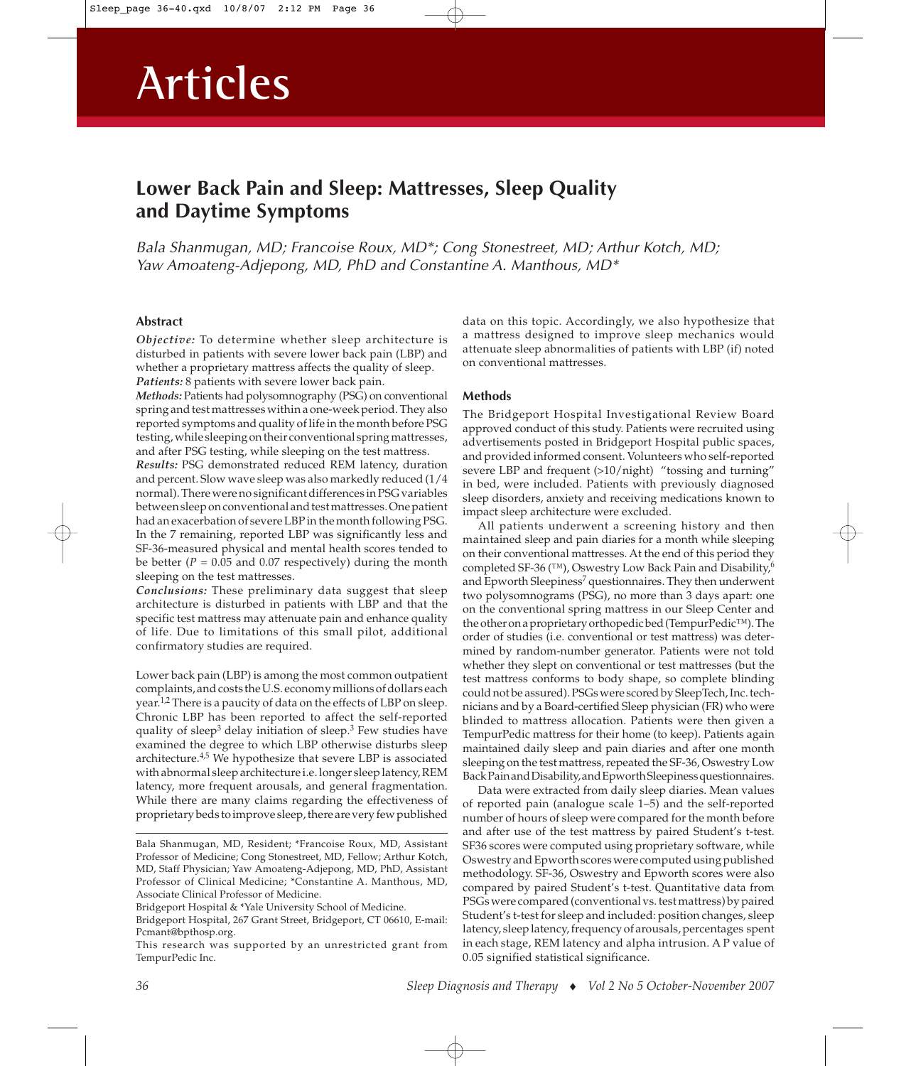# **Lower Back Pain and Sleep: Mattresses, Sleep Quality and Daytime Symptoms**

Bala Shanmugan, MD; Francoise Roux, MD\*; Cong Stonestreet, MD; Arthur Kotch, MD; Yaw Amoateng-Adjepong, MD, PhD and Constantine A. Manthous, MD\*

# **Abstract**

*Objective:* To determine whether sleep architecture is disturbed in patients with severe lower back pain (LBP) and whether a proprietary mattress affects the quality of sleep. *Patients:* 8 patients with severe lower back pain.

*Methods:* Patients had polysomnography (PSG) on conventional spring and test mattresses within a one-week period. They also reported symptoms and quality of life in the month before PSG testing, while sleeping on their conventional spring mattresses, and after PSG testing, while sleeping on the test mattress.

*Results:* PSG demonstrated reduced REM latency, duration and percent. Slow wave sleep was also markedly reduced (1/4 normal). There were no significant differences in PSG variables between sleep on conventional and test mattresses. One patient had an exacerbation of severe LBP in the month following PSG. In the 7 remaining, reported LBP was significantly less and SF-36-measured physical and mental health scores tended to be better ( $P = 0.05$  and 0.07 respectively) during the month sleeping on the test mattresses.

*Conclusions:* These preliminary data suggest that sleep architecture is disturbed in patients with LBP and that the specific test mattress may attenuate pain and enhance quality of life. Due to limitations of this small pilot, additional confirmatory studies are required.

Lower back pain (LBP) is among the most common outpatient complaints, and costs the U.S. economy millions of dollars each year.<sup>1,2</sup> There is a paucity of data on the effects of LBP on sleep. Chronic LBP has been reported to affect the self-reported quality of sleep<sup>3</sup> delay initiation of sleep.<sup>3</sup> Few studies have examined the degree to which LBP otherwise disturbs sleep architecture.4,5 We hypothesize that severe LBP is associated with abnormal sleep architecture i.e. longer sleep latency, REM latency, more frequent arousals, and general fragmentation. While there are many claims regarding the effectiveness of proprietary beds to improve sleep, there are very few published

Bridgeport Hospital & \*Yale University School of Medicine.

Bridgeport Hospital, 267 Grant Street, Bridgeport, CT 06610, E-mail: Pcmant@bpthosp.org.

This research was supported by an unrestricted grant from TempurPedic Inc.

data on this topic. Accordingly, we also hypothesize that a mattress designed to improve sleep mechanics would attenuate sleep abnormalities of patients with LBP (if) noted on conventional mattresses.

### **Methods**

The Bridgeport Hospital Investigational Review Board approved conduct of this study. Patients were recruited using advertisements posted in Bridgeport Hospital public spaces, and provided informed consent. Volunteers who self-reported severe LBP and frequent (>10/night) "tossing and turning" in bed, were included. Patients with previously diagnosed sleep disorders, anxiety and receiving medications known to impact sleep architecture were excluded.

All patients underwent a screening history and then maintained sleep and pain diaries for a month while sleeping on their conventional mattresses. At the end of this period they completed SF-36 (™), Oswestry Low Back Pain and Disability,<sup>6</sup> and Epworth Sleepiness<sup>7</sup> questionnaires. They then underwent two polysomnograms (PSG), no more than 3 days apart: one on the conventional spring mattress in our Sleep Center and the other on a proprietary orthopedic bed (TempurPedic™). The order of studies (i.e. conventional or test mattress) was determined by random-number generator. Patients were not told whether they slept on conventional or test mattresses (but the test mattress conforms to body shape, so complete blinding could not be assured). PSGs were scored by SleepTech, Inc. technicians and by a Board-certified Sleep physician (FR) who were blinded to mattress allocation. Patients were then given a TempurPedic mattress for their home (to keep). Patients again maintained daily sleep and pain diaries and after one month sleeping on the test mattress, repeated the SF-36, Oswestry Low Back Pain and Disability, and Epworth Sleepiness questionnaires.

Data were extracted from daily sleep diaries. Mean values of reported pain (analogue scale 1–5) and the self-reported number of hours of sleep were compared for the month before and after use of the test mattress by paired Student's t-test. SF36 scores were computed using proprietary software, while Oswestry and Epworth scores were computed using published methodology. SF-36, Oswestry and Epworth scores were also compared by paired Student's t-test. Quantitative data from PSGs were compared (conventional vs. test mattress) by paired Student's t-test for sleep and included: position changes, sleep latency, sleep latency, frequency of arousals, percentages spent in each stage, REM latency and alpha intrusion. A P value of 0.05 signified statistical significance.

Bala Shanmugan, MD, Resident; \*Francoise Roux, MD, Assistant Professor of Medicine; Cong Stonestreet, MD, Fellow; Arthur Kotch, MD, Staff Physician; Yaw Amoateng-Adjepong, MD, PhD, Assistant Professor of Clinical Medicine; \*Constantine A. Manthous, MD, Associate Clinical Professor of Medicine.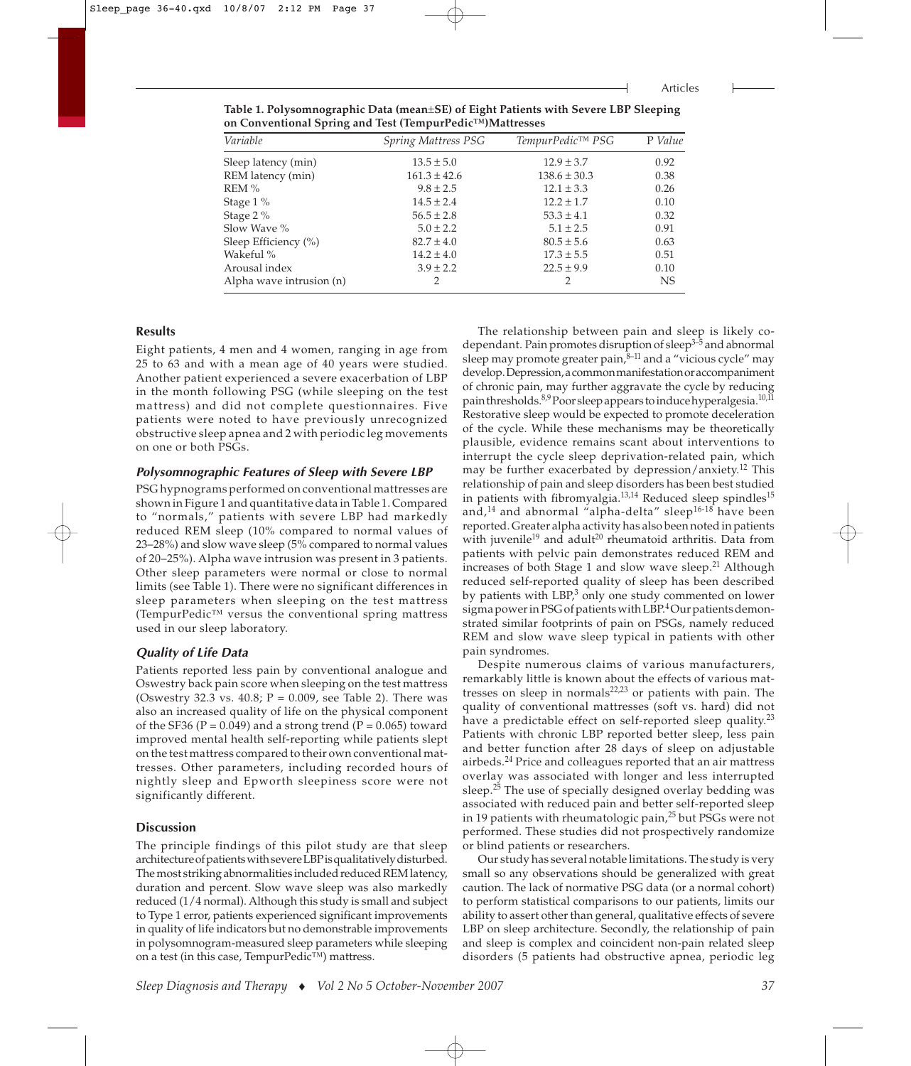**Table 1. Polysomnographic Data (mean**±**SE) of Eight Patients with Severe LBP Sleeping on Conventional Spring and Test (TempurPedic™)Mattresses**

| Spring Mattress PSG | TempurPedic™ PSG | P Value |
|---------------------|------------------|---------|
| $13.5 \pm 5.0$      | $12.9 \pm 3.7$   | 0.92    |
| $161.3 \pm 42.6$    | $138.6 \pm 30.3$ | 0.38    |
| $9.8 \pm 2.5$       | $12.1 \pm 3.3$   | 0.26    |
| $14.5 \pm 2.4$      | $12.2 \pm 1.7$   | 0.10    |
| $56.5 \pm 2.8$      | $53.3 \pm 4.1$   | 0.32    |
| $5.0 \pm 2.2$       | $5.1 \pm 2.5$    | 0.91    |
| $82.7 \pm 4.0$      | $80.5 \pm 5.6$   | 0.63    |
| $14.2 \pm 4.0$      | $17.3 \pm 5.5$   | 0.51    |
| $3.9 \pm 2.2$       | $22.5 \pm 9.9$   | 0.10    |
|                     |                  | NS      |
|                     |                  |         |

## **Results**

Eight patients, 4 men and 4 women, ranging in age from 25 to 63 and with a mean age of 40 years were studied. Another patient experienced a severe exacerbation of LBP in the month following PSG (while sleeping on the test mattress) and did not complete questionnaires. Five patients were noted to have previously unrecognized obstructive sleep apnea and 2 with periodic leg movements on one or both PSGs.

#### **Polysomnographic Features of Sleep with Severe LBP**

PSG hypnograms performed on conventional mattresses are shown in Figure 1 and quantitative data in Table 1. Compared to "normals," patients with severe LBP had markedly reduced REM sleep (10% compared to normal values of 23–28%) and slow wave sleep (5% compared to normal values of 20–25%). Alpha wave intrusion was present in 3 patients. Other sleep parameters were normal or close to normal limits (see Table 1). There were no significant differences in sleep parameters when sleeping on the test mattress (TempurPedic™ versus the conventional spring mattress used in our sleep laboratory.

#### **Quality of Life Data**

Patients reported less pain by conventional analogue and Oswestry back pain score when sleeping on the test mattress (Oswestry 32.3 vs. 40.8; P = 0.009, see Table 2). There was also an increased quality of life on the physical component of the SF36 (P =  $0.049$ ) and a strong trend (P =  $0.065$ ) toward improved mental health self-reporting while patients slept on the test mattress compared to their own conventional mattresses. Other parameters, including recorded hours of nightly sleep and Epworth sleepiness score were not significantly different.

#### **Discussion**

The principle findings of this pilot study are that sleep architecture of patients with severe LBPis qualitatively disturbed. The most striking abnormalities included reduced REM latency, duration and percent. Slow wave sleep was also markedly reduced (1/4 normal). Although this study is small and subject to Type 1 error, patients experienced significant improvements in quality of life indicators but no demonstrable improvements in polysomnogram-measured sleep parameters while sleeping on a test (in this case, TempurPedic™) mattress.

The relationship between pain and sleep is likely codependant. Pain promotes disruption of sleep<sup>3-5</sup> and abnormal sleep may promote greater pain, $\overline{\delta}$ <sup>-11</sup> and a "vicious cycle" may develop. Depression, a common manifestation or accompaniment of chronic pain, may further aggravate the cycle by reducing pain thresholds. 8,9 Poor sleep appears to induce hyperalgesia. 10,11 Restorative sleep would be expected to promote deceleration of the cycle. While these mechanisms may be theoretically plausible, evidence remains scant about interventions to interrupt the cycle sleep deprivation-related pain, which may be further exacerbated by depression/anxiety.12 This relationship of pain and sleep disorders has been best studied in patients with fibromyalgia. $13,14$  Reduced sleep spindles<sup>15</sup> and, $14$  and abnormal "alpha-delta" sleep $16-18$  have been reported. Greater alpha activity has also been noted in patients with juvenile<sup>19</sup> and adult<sup>20</sup> rheumatoid arthritis. Data from patients with pelvic pain demonstrates reduced REM and increases of both Stage 1 and slow wave sleep. $21$  Although reduced self-reported quality of sleep has been described by patients with LBP,<sup>3</sup> only one study commented on lower sigma power in PSG of patients with LBP.<sup>4</sup> Our patients demonstrated similar footprints of pain on PSGs, namely reduced REM and slow wave sleep typical in patients with other pain syndromes.

Despite numerous claims of various manufacturers, remarkably little is known about the effects of various mattresses on sleep in normals $22,23$  or patients with pain. The quality of conventional mattresses (soft vs. hard) did not have a predictable effect on self-reported sleep quality.<sup>23</sup> Patients with chronic LBP reported better sleep, less pain and better function after 28 days of sleep on adjustable airbeds.<sup>24</sup> Price and colleagues reported that an air mattress overlay was associated with longer and less interrupted sleep.<sup>25</sup> The use of specially designed overlay bedding was associated with reduced pain and better self-reported sleep in 19 patients with rheumatologic pain,<sup>25</sup> but PSGs were not performed. These studies did not prospectively randomize or blind patients or researchers.

Our study has several notable limitations. The study is very small so any observations should be generalized with great caution. The lack of normative PSG data (or a normal cohort) to perform statistical comparisons to our patients, limits our ability to assert other than general, qualitative effects of severe LBP on sleep architecture. Secondly, the relationship of pain and sleep is complex and coincident non-pain related sleep disorders (5 patients had obstructive apnea, periodic leg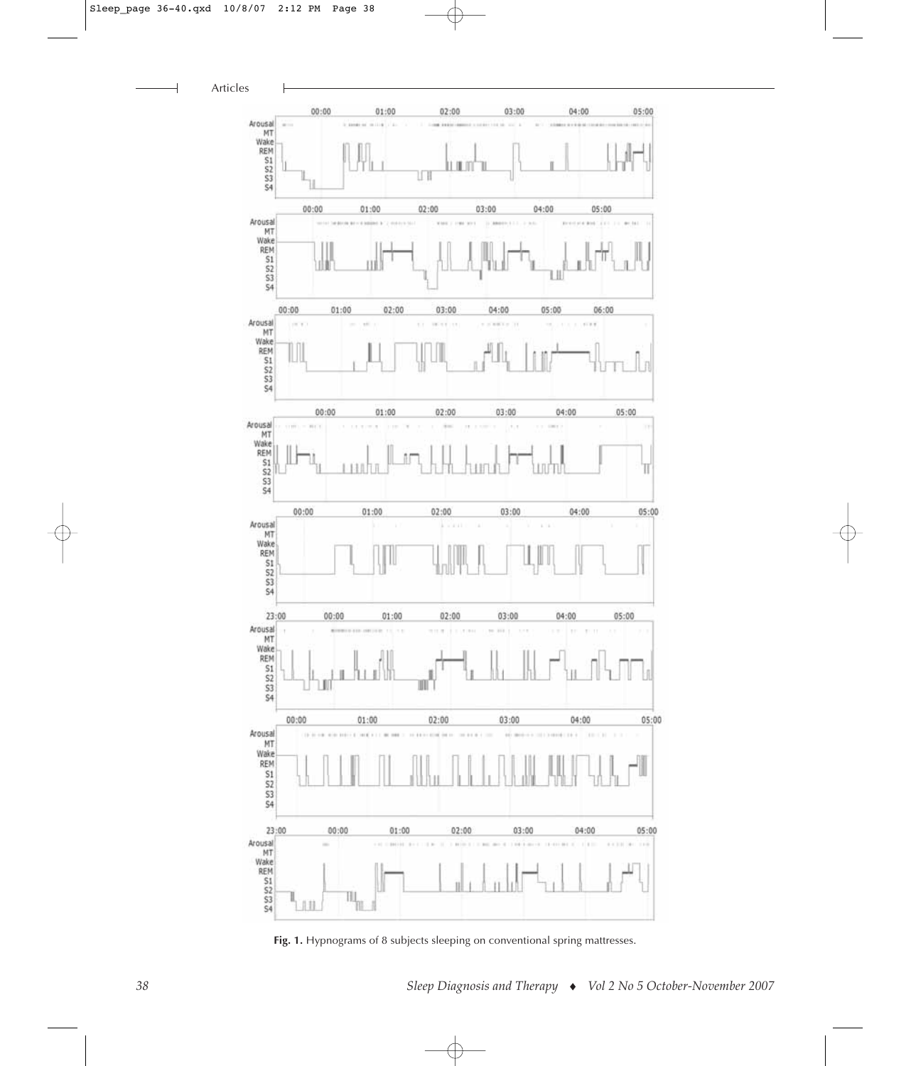$\overline{\phantom{a}}$ 



Fig. 1. Hypnograms of 8 subjects sleeping on conventional spring mattresses.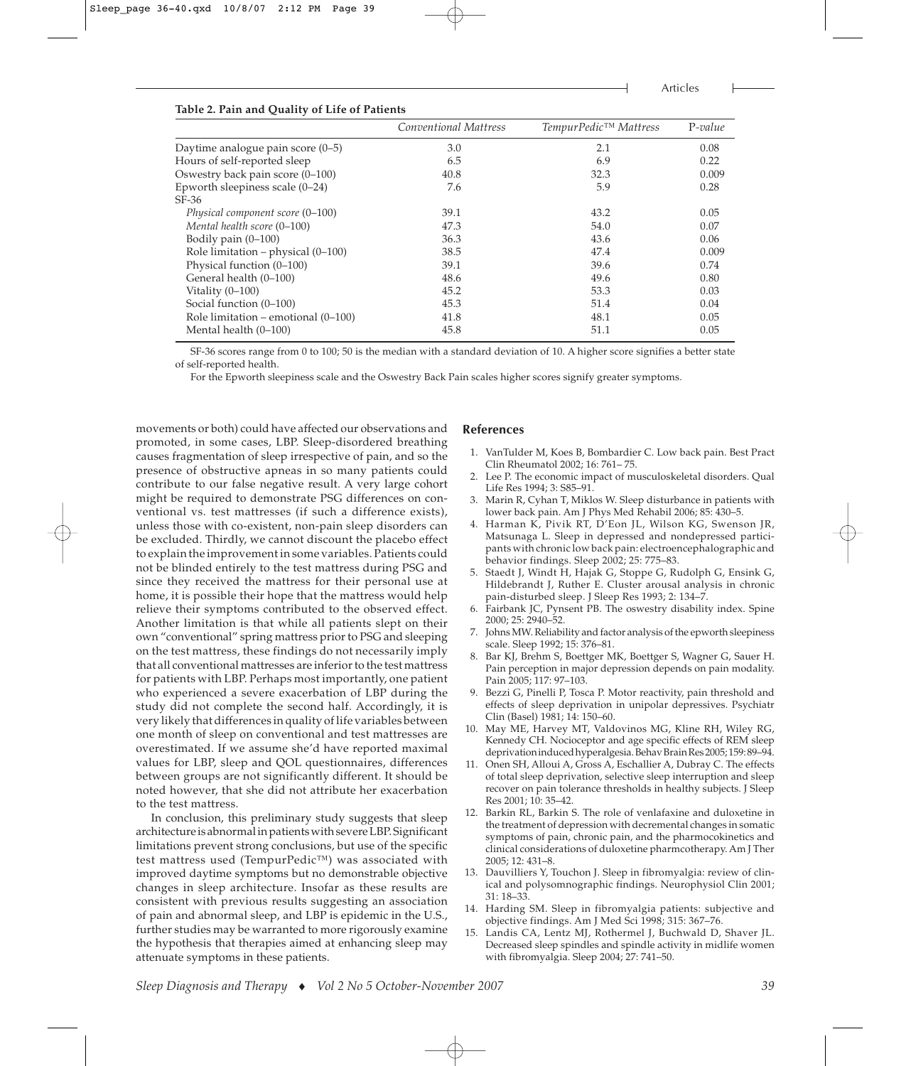Articles

| Table 2. Pain and Quality of Life of Patients |                       |                       |           |  |  |  |
|-----------------------------------------------|-----------------------|-----------------------|-----------|--|--|--|
|                                               | Conventional Mattress | TempurPedic™ Mattress | $P-value$ |  |  |  |
| Daytime analogue pain score $(0-5)$           | 3.0                   | 2.1                   | 0.08      |  |  |  |
| Hours of self-reported sleep                  | 6.5                   | 6.9                   | 0.22      |  |  |  |
| Oswestry back pain score (0-100)              | 40.8                  | 32.3                  | 0.009     |  |  |  |
| Epworth sleepiness scale $(0-24)$             | 7.6                   | 5.9                   | 0.28      |  |  |  |
| $SF-36$                                       |                       |                       |           |  |  |  |
| Physical component score (0-100)              | 39.1                  | 43.2                  | 0.05      |  |  |  |
| Mental health score (0–100)                   | 47.3                  | 54.0                  | 0.07      |  |  |  |

**Table 2. Pain and Quality of Life of Patients** 

|                          | SF-36 scores range from 0 to 100; 50 is the median with a standard deviation of 10. A higher score signifies a better state |  |  |
|--------------------------|-----------------------------------------------------------------------------------------------------------------------------|--|--|
| of self-reported health. |                                                                                                                             |  |  |

Bodily pain (0–100) 36.3 43.6 0.06 Role limitation – physical (0–100) 38.5 47.4 0.009 Physical function (0–100) 39.1 39.6 0.74 General health (0–100) 48.6 49.6 0.80 Vitality (0–100) **45.2** 53.3 0.03 Social function (0–100)  $\qquad \qquad 45.3 \qquad \qquad 51.4 \qquad \qquad 0.04$ Role limitation – emotional (0–100) 41.8 48.1 0.05 Mental health (0–100)  $45.8$  51.1 0.05

For the Epworth sleepiness scale and the Oswestry Back Pain scales higher scores signify greater symptoms.

movements or both) could have affected our observations and promoted, in some cases, LBP. Sleep-disordered breathing causes fragmentation of sleep irrespective of pain, and so the presence of obstructive apneas in so many patients could contribute to our false negative result. A very large cohort might be required to demonstrate PSG differences on conventional vs. test mattresses (if such a difference exists), unless those with co-existent, non-pain sleep disorders can be excluded. Thirdly, we cannot discount the placebo effect to explain the improvement in some variables. Patients could not be blinded entirely to the test mattress during PSG and since they received the mattress for their personal use at home, it is possible their hope that the mattress would help relieve their symptoms contributed to the observed effect. Another limitation is that while all patients slept on their own "conventional" spring mattress prior to PSG and sleeping on the test mattress, these findings do not necessarily imply that all conventional mattresses are inferior to the test mattress for patients with LBP. Perhaps most importantly, one patient who experienced a severe exacerbation of LBP during the study did not complete the second half. Accordingly, it is very likely that differences in quality of life variables between one month of sleep on conventional and test mattresses are overestimated. If we assume she'd have reported maximal values for LBP, sleep and QOL questionnaires, differences between groups are not significantly different. It should be noted however, that she did not attribute her exacerbation to the test mattress.

In conclusion, this preliminary study suggests that sleep architecture is abnormal in patients with severe LBP. Significant limitations prevent strong conclusions, but use of the specific test mattress used (TempurPedic™) was associated with improved daytime symptoms but no demonstrable objective changes in sleep architecture. Insofar as these results are consistent with previous results suggesting an association of pain and abnormal sleep, and LBP is epidemic in the U.S., further studies may be warranted to more rigorously examine the hypothesis that therapies aimed at enhancing sleep may attenuate symptoms in these patients.

#### **References**

- 1. VanTulder M, Koes B, Bombardier C. Low back pain. Best Pract Clin Rheumatol 2002; 16: 761– 75.
- Lee P. The economic impact of musculoskeletal disorders. Qual Life Res 1994; 3: S85–91.
- 3. Marin R, Cyhan T, Miklos W. Sleep disturbance in patients with lower back pain. Am J Phys Med Rehabil 2006; 85: 430–5.
- 4. Harman K, Pivik RT, D'Eon JL, Wilson KG, Swenson JR, Matsunaga L. Sleep in depressed and nondepressed participants with chronic low back pain: electroencephalographic and behavior findings. Sleep 2002; 25: 775–83.
- 5. Staedt J, Windt H, Hajak G, Stoppe G, Rudolph G, Ensink G, Hildebrandt J, Ruther E. Cluster arousal analysis in chronic pain-disturbed sleep. J Sleep Res 1993; 2: 134–7.
- Fairbank JC, Pynsent PB. The oswestry disability index. Spine 2000; 25: 2940–52.
- 7. Johns MW. Reliability and factor analysis of the epworth sleepiness scale. Sleep 1992; 15: 376–81.
- Bar KJ, Brehm S, Boettger MK, Boettger S, Wagner G, Sauer H. Pain perception in major depression depends on pain modality. Pain 2005; 117: 97–103.
- 9. Bezzi G, Pinelli P, Tosca P. Motor reactivity, pain threshold and effects of sleep deprivation in unipolar depressives. Psychiatr Clin (Basel) 1981; 14: 150–60.
- 10. May ME, Harvey MT, Valdovinos MG, Kline RH, Wiley RG, Kennedy CH. Nocioceptor and age specific effects of REM sleep deprivation induced hyperalgesia. Behav Brain Res 2005; 159: 89–94.
- 11. Onen SH, Alloui A, Gross A, Eschallier A, Dubray C. The effects of total sleep deprivation, selective sleep interruption and sleep recover on pain tolerance thresholds in healthy subjects. J Sleep Res 2001; 10: 35–42.
- 12. Barkin RL, Barkin S. The role of venlafaxine and duloxetine in the treatment of depression with decremental changes in somatic symptoms of pain, chronic pain, and the pharmocokinetics and clinical considerations of duloxetine pharmcotherapy. Am J Ther 2005; 12: 431–8.
- 13. Dauvilliers Y, Touchon J. Sleep in fibromyalgia: review of clinical and polysomnographic findings. Neurophysiol Clin 2001; 31: 18–33.
- 14. Harding SM. Sleep in fibromyalgia patients: subjective and objective findings. Am J Med Sci 1998; 315: 367–76.
- 15. Landis CA, Lentz MJ, Rothermel J, Buchwald D, Shaver JL. Decreased sleep spindles and spindle activity in midlife women with fibromyalgia. Sleep 2004; 27: 741–50.